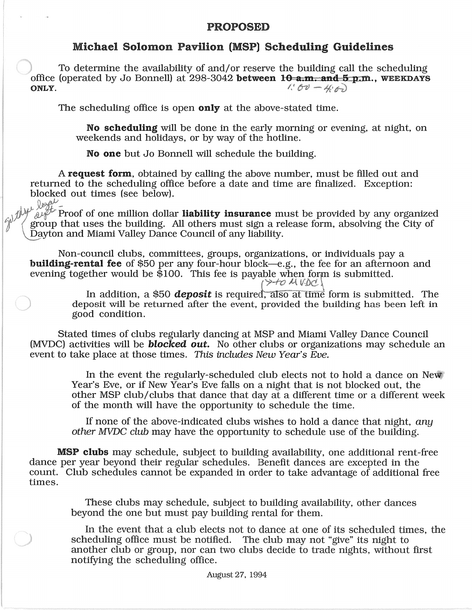## PROPOSED

## Michael Solomon Pavilion (MSP) Scheduling Guidelines

To determine the availability of and/or reserve the building call the scheduling office (operated by Jo Bonnell) at 298-3042 between  $10$ -a.m. and 5 p.m., WEEKDAYS ONLY.  $1.60 - 4.6$ 

The scheduling office is open **only** at the above-stated time.

No scheduling will be done in the early morning or evening, at night, on weekends and holidays, or by way of the hotline.

No one but Jo Bonnell will schedule the building.

A request form, obtained by calling the above number, must be filled out and returned to the scheduling office before a date and time are finalized. Exception: blocked out times (see below).

 $\mathcal{L}$  is the proof of one million dollar **liability insurance** must be provided by any organized group that uses the building. All others must sign a release form, absolving the City of Dayton and Miami Valley Dance Council of any liability.

Non-council clubs, committees, groups, organizations, or individuals pay a building-rental fee of \$50 per any four-hour block-e.g., the fee for an afternoon and evening together would be  $\overline{$}100$ . This fee is payable when form is submitted.

**12M VDC** 

In addition, a \$50 *deposit* is required, also at time form is submitted. The deposit will be returned after the event, provided the building has been left in good condition.

Stated times of clubs regularly dancing at MSP and Miami Valley Dance Council (MVDC) activities will be *blocked out.* No other clubs or organizations may schedule an event to take place at those times. This includes New Year's Eve.

> In the event the regularly-scheduled club elects not to hold a dance on New. Year's Eve, or if New Year's Eve falls on a night that is not blocked out, the other MSP club/clubs that dance that day at a different time or a different week of the month will have the opportunity to schedule the time.

If none of the above-indicated clubs wishes to hold a dance that night, any other MVDC club may have the opportunity to schedule use of the building.

**MSP clubs** may schedule, subject to building availability, one additional rent-free dance per year beyond their regular schedules. Benefit dances are excepted in the count. Club schedules cannot be expanded in order to take advantage of additional free times.

These clubs may schedule, subject to building availability, other dances beyond the one but must pay building rental for them.

In the event that a club elects not to dance at one of its scheduled times, the scheduling office must be notified. The club may not "give" its night to another club or group, nor can two clubs decide to trade nights, without first notifying the scheduling office.